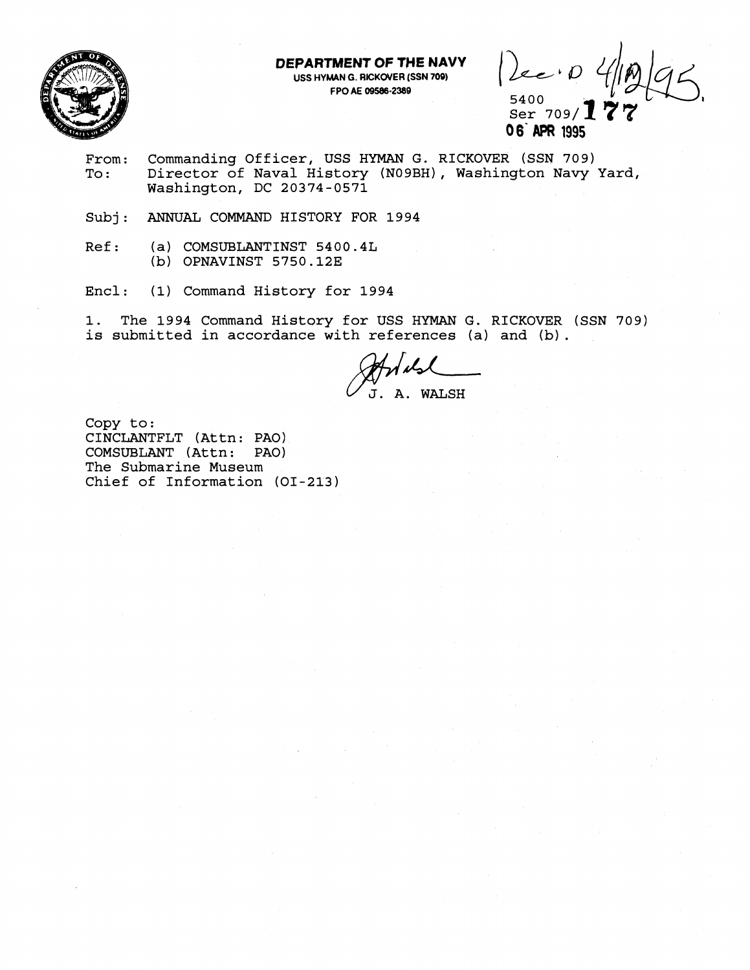

**DEPARTMGNT OF THE NAVY USS HYMAN G. RICKOVER (SSN 709)** 

**FRO AE OF THE NAVY**<br>
FPO AE 09586-2389<br>
FPO AE 09586-2389<br>
Ser 709/**177**  $\frac{5400}{$  Ser 709/ $\bf 1$ 

**0 6' APR 1995** 

- From: Commanding Officer, USS HYMAN G. RICKOVER (SSN 709)<br>To: Director of Naval History (N09BH), Washington Navy Director of Naval History (NO9BH), Washington Navy Yard, Washington, DC 20374-0571
- Subj: ANNUAL COMMAND HISTORY FOR 1994
- Ref: (a) COMSUBLANTINST 5400.4L (b) OPNAVINST 5750.12E
- Encl: (1) Command History for 1994

1. The 1994 Command History for USS HYMAN G. RICKOVER (SSN 709) is submitted in accordance with references (a) and (b) .

 $J.$  A. WALSH

Copy to: CINCLANTFLT (Attn: PAO) COMSUBLANT (Attn: PAO) The Submarine Museum Chief of Information (01-213)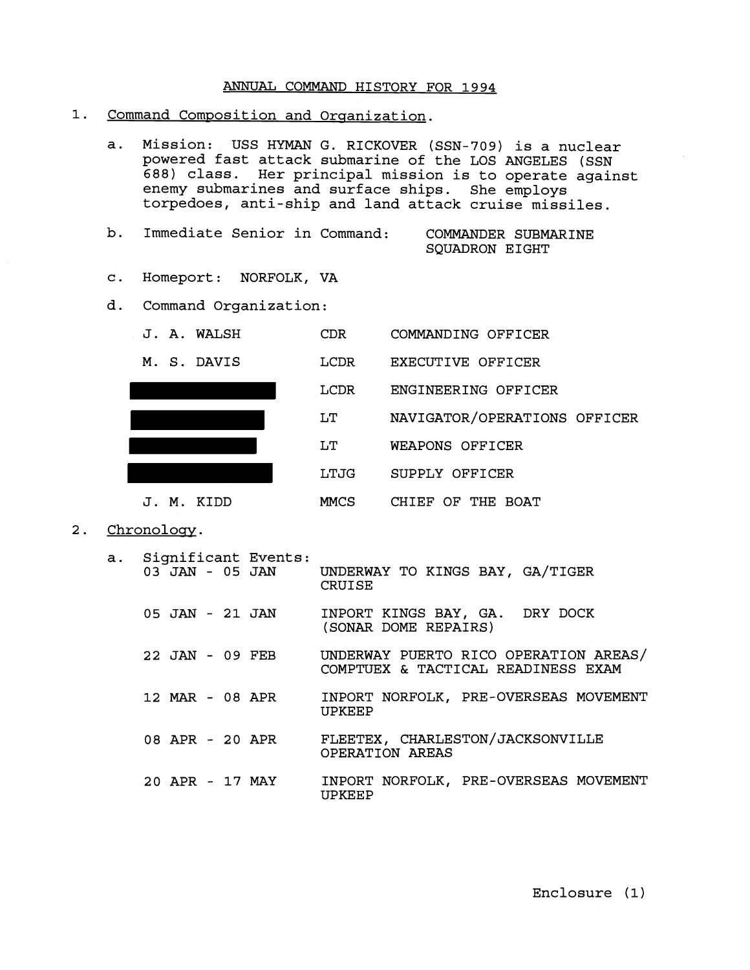## ANNUAL COMMAND HISTORY FOR 1994

- 1. Command Composition and Organization.
	- a. Mission: USS HYMAN G. RICKOVER (SSN-709) is a nuclear powered fast attack submarine of the LOS ANGELES (SSN 688) class. Her principal mission is to operate against enemy submarines and surface ships. She employs torpedoes, anti-ship and land attack cruise missiles.
	- b. Immediate Senior in Command: COMMANDER SUBMARINE SQUADRON EIGHT
	- c. Homeport: NORFOLK, VA
	- d. Command Organization:



2. Chronology.

| а. | Significant Events:<br>03 JAN - 05 JAN | UNDERWAY TO KINGS BAY, GA/TIGER<br><b>CRUISE</b>                            |
|----|----------------------------------------|-----------------------------------------------------------------------------|
|    | 05 JAN - 21 JAN                        | INPORT KINGS BAY, GA. DRY DOCK<br>(SONAR DOME REPAIRS)                      |
|    | 22 JAN - 09 FEB                        | UNDERWAY PUERTO RICO OPERATION AREAS/<br>COMPTUEX & TACTICAL READINESS EXAM |
|    | 12 MAR - 08 APR                        | INPORT NORFOLK, PRE-OVERSEAS MOVEMENT<br>UPKEEP                             |
|    | 08 APR - 20 APR                        | FLEETEX, CHARLESTON/JACKSONVILLE<br>OPERATION AREAS                         |
|    | 20 APR - 17 MAY                        | INPORT NORFOLK, PRE-OVERSEAS MOVEMENT<br>UPKEEP                             |

Enclosure (1)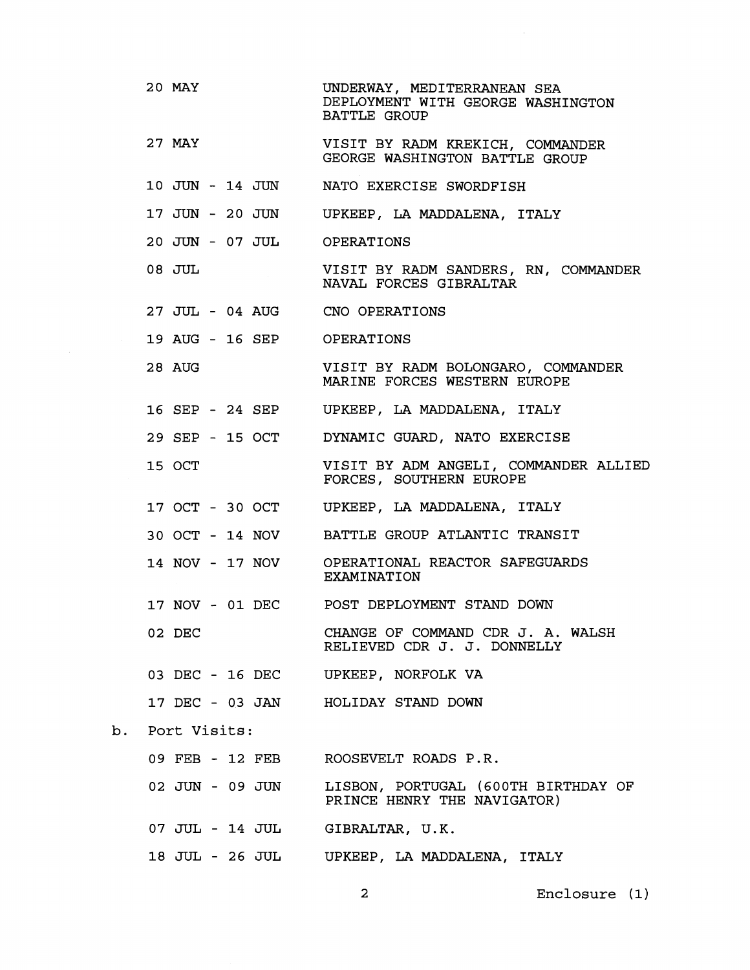| 20 MAY                          | UNDERWAY, MEDITERRANEAN SEA<br>DEPLOYMENT WITH GEORGE WASHINGTON<br><b>BATTLE GROUP</b> |  |  |  |  |  |
|---------------------------------|-----------------------------------------------------------------------------------------|--|--|--|--|--|
| 27 MAY                          | VISIT BY RADM KREKICH, COMMANDER<br>GEORGE WASHINGTON BATTLE GROUP                      |  |  |  |  |  |
|                                 | 10 JUN - 14 JUN NATO EXERCISE SWORDFISH                                                 |  |  |  |  |  |
|                                 | 17 JUN - 20 JUN UPKEEP, LA MADDALENA, ITALY                                             |  |  |  |  |  |
| 20 JUN - 07 JUL OPERATIONS      |                                                                                         |  |  |  |  |  |
| 08 JUL                          | VISIT BY RADM SANDERS, RN, COMMANDER<br>NAVAL FORCES GIBRALTAR                          |  |  |  |  |  |
| 27 JUL - 04 AUG CNO OPERATIONS  |                                                                                         |  |  |  |  |  |
| 19 AUG - 16 SEP OPERATIONS      |                                                                                         |  |  |  |  |  |
| 28 AUG                          | VISIT BY RADM BOLONGARO, COMMANDER<br>MARINE FORCES WESTERN EUROPE                      |  |  |  |  |  |
|                                 | 16 SEP - 24 SEP UPKEEP, LA MADDALENA, ITALY                                             |  |  |  |  |  |
| 29 SEP - 15 OCT                 | DYNAMIC GUARD, NATO EXERCISE                                                            |  |  |  |  |  |
| 15 OCT                          | VISIT BY ADM ANGELI, COMMANDER ALLIED<br>FORCES, SOUTHERN EUROPE                        |  |  |  |  |  |
|                                 | 17 OCT - 30 OCT UPKEEP, LA MADDALENA, ITALY                                             |  |  |  |  |  |
|                                 | 30 OCT - 14 NOV BATTLE GROUP ATLANTIC TRANSIT                                           |  |  |  |  |  |
|                                 | 14 NOV - 17 NOV OPERATIONAL REACTOR SAFEGUARDS<br>EXAMINATION                           |  |  |  |  |  |
|                                 | 17 NOV - 01 DEC POST DEPLOYMENT STAND DOWN                                              |  |  |  |  |  |
| 02 DEC                          | CHANGE OF COMMAND CDR J. A. WALSH<br>RELIEVED CDR J. J. DONNELLY                        |  |  |  |  |  |
|                                 | 03 DEC - 16 DEC UPKEEP, NORFOLK VA                                                      |  |  |  |  |  |
|                                 | 17 DEC - 03 JAN HOLIDAY STAND DOWN                                                      |  |  |  |  |  |
| Port Visits:                    |                                                                                         |  |  |  |  |  |
|                                 | 09 FEB - 12 FEB ROOSEVELT ROADS P.R.                                                    |  |  |  |  |  |
| 02 JUN - 09 JUN                 | LISBON, PORTUGAL (600TH BIRTHDAY OF<br>PRINCE HENRY THE NAVIGATOR)                      |  |  |  |  |  |
| 07 JUL - 14 JUL GIBRALTAR, U.K. |                                                                                         |  |  |  |  |  |
|                                 | 18 JUL - 26 JUL UPKEEP, LA MADDALENA, ITALY                                             |  |  |  |  |  |

**2** Enclosure **(1)** 

 $b$ .